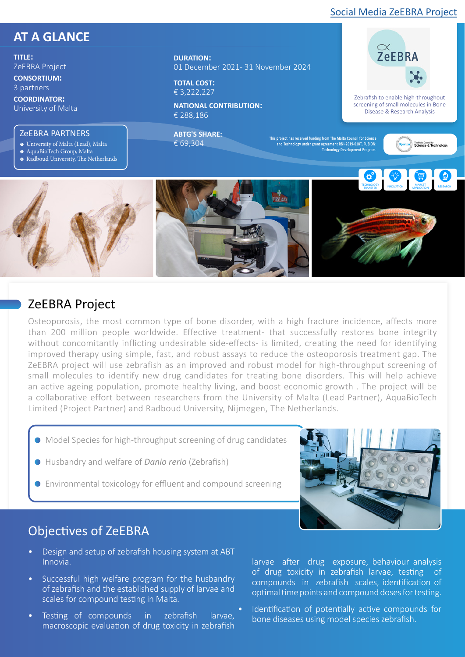#### [Social Media ZeEBRA Project](https://www.facebook.com/zeebraprojectUM/)

 $\approx$ <br>ZeEBRA

Zebrafish to enable high-throughout screening of small molecules in Bone Disease & Research Analysis

# **AT A GLANCE**

**TITLE:**  ZeEBRA Project

**CONSORTIUM:**  3 partners

**COORDINATOR:**  University of Malta

#### ZeEBRA PARTNERS

- University of Malta (Lead), Malta 1
- 2 AquaBioTech Group, Malta
- 3 Radboud University, The Netherlands

#### **DURATION:**  01 December 2021 - 31 November 2024

**TOTAL COST:**  € 3,222,227

**NATIONAL CONTRIBUTION:**  € 288,186

**ABTG'S SHARE:** € 69,304

**This project has received funding from The Malta Council for Science and Technology under grant agreement R&I-2019-018T, FUSION: Technology Development Program.** 







#### ZeEBRA Project

Osteoporosis, the most common type of bone disorder, with a high fracture incidence, affects more than 200 million people worldwide. Effective treatment- that successfully restores bone integrity without concomitantly inflicting undesirable side-effects- is limited, creating the need for identifying improved therapy using simple, fast, and robust assays to reduce the osteoporosis treatment gap. The ZeEBRA project will use zebrafish as an improved and robust model for high-throughput screening of small molecules to identify new drug candidates for treating bone disorders. This will help achieve an active ageing population, promote healthy living, and boost economic growth . The project will be a collaborative effort between researchers from the University of Malta (Lead Partner), AquaBioTech Limited (Project Partner) and Radboud University, Nijmegen, The Netherlands.

- Model Species for high-throughput screening of drug candidates
- Husbandry and welfare of *Danio rerio* (Zebrafish)
- Environmental toxicology for effluent and compound screening



### Objectives of ZeEBRA

- Design and setup of zebrafish housing system at ABT Innovia.
- Successful high welfare program for the husbandry of zebrafish and the established supply of larvae and scales for compound testing in Malta.
- Testing of compounds in zebrafish larvae, macroscopic evaluation of drug toxicity in zebrafish

larvae after drug exposure, behaviour analysis of drug toxicity in zebrafish larvae, testing of compounds in zebrafish scales, identification of optimal time points and compound doses for testing.

Identification of potentially active compounds for bone diseases using model species zebrafish.